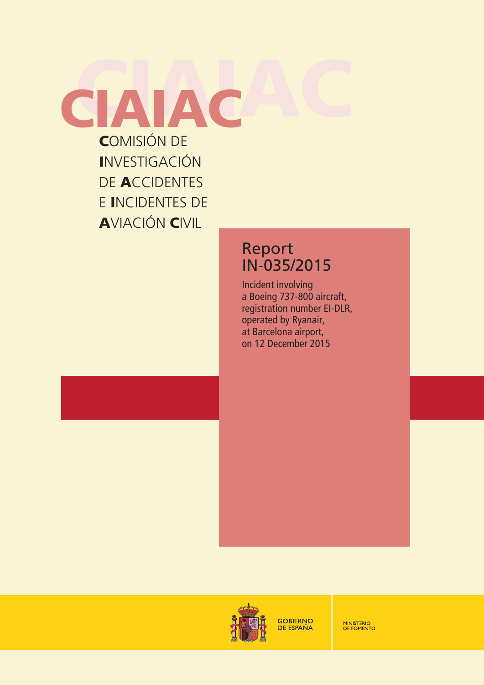COMISIÓN DE INVESTIGACIÓN DE ACCIDENTES E INCIDENTES DE AVIACIÓN CIVIL **CIAIAC** 

# Report IN-035/2015

Incident involving a Boeing 737-800 aircraft, registration number EI-DLR, operated by Ryanair, at Barcelona airport, on 12 December 2015



**GOBIERNO DE ESPAÑA** 

**MINISTERIO<br>DE FOMENTO**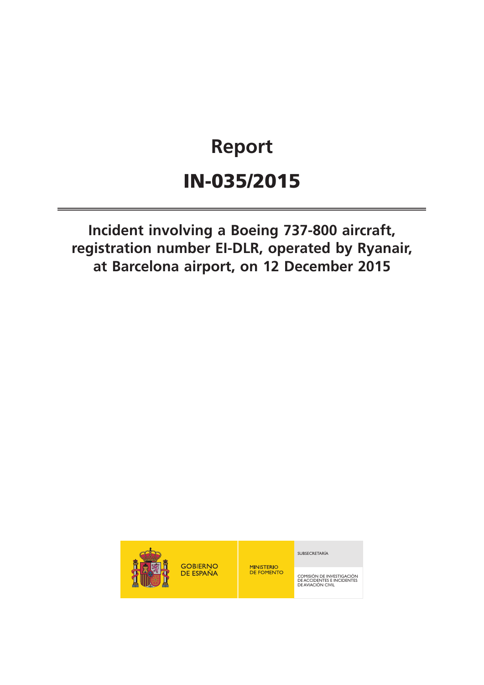# **Report** IN-035/2015

**Incident involving a Boeing 737-800 aircraft, registration number EI-DLR, operated by Ryanair, at Barcelona airport, on 12 December 2015**



**GOBIERNO** DE ESPAÑA

**MINISTERIO<br>DE FOMENTO** 

SUBSECRETARÍA

COMISIÓN DE INVESTIGACIÓN DE ACCIDENTES E INCIDENTES DE AVIACIÓN CIVIL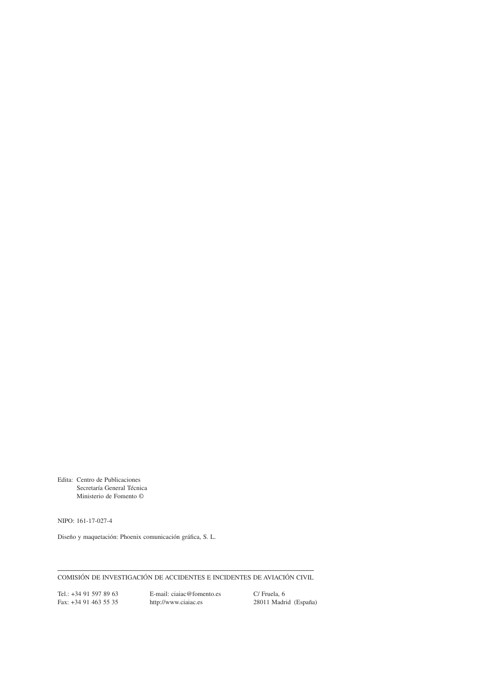Edita: Centro de Publicaciones Secretaría General Técnica Ministerio de Fomento ©

NIPO: 161-17-027-4

Diseño y maquetación: Phoenix comunicación gráica, S. L.

COMISIÓN DE INVESTIGACIÓN DE ACCIDENTES E INCIDENTES DE AVIACIÓN CIVIL

Tel.: +34 91 597 89 63<br>
Fax: +34 91 463 55 35<br>
http://www.ciaiac.es C/ Fruela, 6<br>
28011 Madrid (España) http://www.ciaiac.es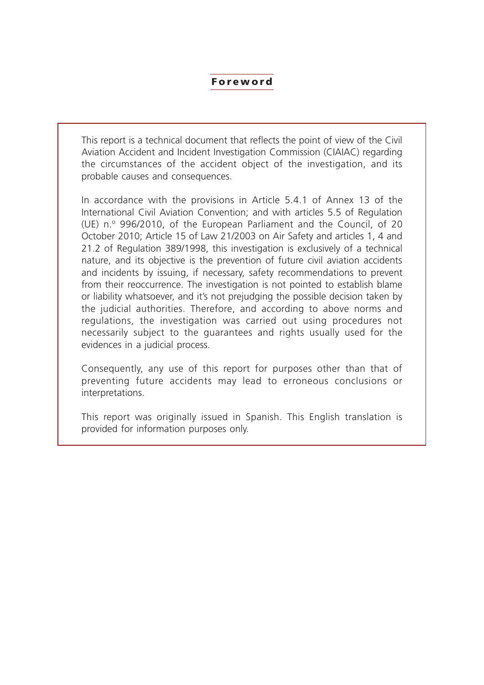#### Foreword

This report is a technical document that reflects the point of view of the Civil Aviation Accident and Incident Investigation Commission (CIAIAC) regarding the circumstances of the accident object of the investigation, and its probable causes and consequences.

In accordance with the provisions in Article 5.4.1 of Annex 13 of the International Civil Aviation Convention; and with articles 5.5 of Regulation (UE) n.º 996/2010, of the European Parliament and the Council, of 20 October 2010; Article 15 of Law 21/2003 on Air Safety and articles 1, 4 and 21.2 of Regulation 389/1998, this investigation is exclusively of a technical nature, and its objective is the prevention of future civil aviation accidents and incidents by issuing, if necessary, safety recommendations to prevent from their reoccurrence. The investigation is not pointed to establish blame or liability whatsoever, and it's not prejudging the possible decision taken by the judicial authorities. Therefore, and according to above norms and regulations, the investigation was carried out using procedures not necessarily subject to the guarantees and rights usually used for the evidences in a judicial process.

Consequently, any use of this report for purposes other than that of preventing future accidents may lead to erroneous conclusions or interpretations.

This report was originally issued in Spanish. This English translation is provided for information purposes only.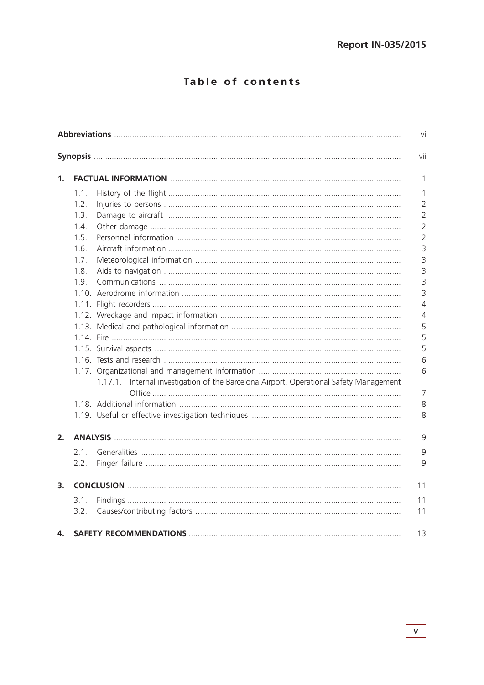# Table of contents

|    |      |                                                                                        | vii |  |
|----|------|----------------------------------------------------------------------------------------|-----|--|
| 1. |      |                                                                                        |     |  |
|    | 1.1. |                                                                                        |     |  |
|    | 1.2. |                                                                                        |     |  |
|    | 1.3. |                                                                                        |     |  |
|    | 1.4. |                                                                                        |     |  |
|    | 1.5. |                                                                                        |     |  |
|    | 1.6. |                                                                                        |     |  |
|    | 1.7. |                                                                                        |     |  |
|    | 1.8. |                                                                                        |     |  |
|    | 1.9. |                                                                                        |     |  |
|    |      |                                                                                        |     |  |
|    |      |                                                                                        |     |  |
|    |      |                                                                                        |     |  |
|    |      |                                                                                        |     |  |
|    |      |                                                                                        |     |  |
|    |      |                                                                                        |     |  |
|    |      |                                                                                        |     |  |
|    |      |                                                                                        |     |  |
|    |      | 1.17.1. Internal investigation of the Barcelona Airport, Operational Safety Management |     |  |
|    |      |                                                                                        |     |  |
|    |      |                                                                                        |     |  |
| 2. |      |                                                                                        |     |  |
|    | 2.1. |                                                                                        |     |  |
|    | 2.2. |                                                                                        |     |  |
| 3. |      |                                                                                        |     |  |
|    | 3.1. |                                                                                        | 11  |  |
|    | 3.2. |                                                                                        | 11  |  |
| 4. |      |                                                                                        |     |  |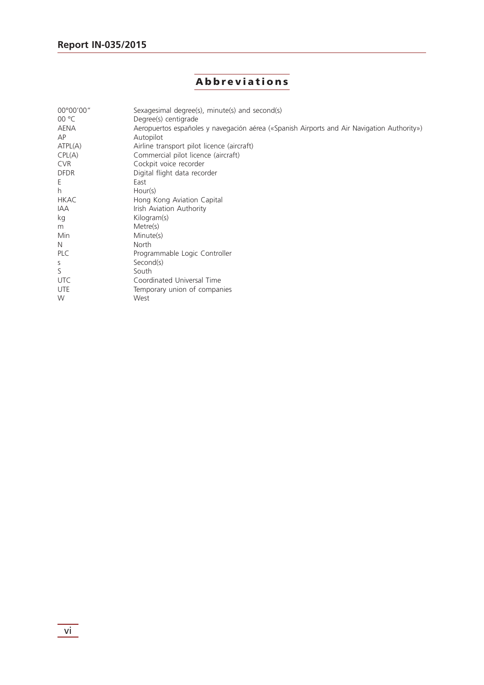# Abbreviations

| 00°00'00"<br>00 °C | Sexagesimal degree(s), minute(s) and second(s)<br>Degree(s) centigrade                     |
|--------------------|--------------------------------------------------------------------------------------------|
| AENA               | Aeropuertos españoles y navegación aérea («Spanish Airports and Air Navigation Authority») |
| ΑP                 | Autopilot                                                                                  |
| ATPL(A)            | Airline transport pilot licence (aircraft)                                                 |
| CPL(A)             | Commercial pilot licence (aircraft)                                                        |
| <b>CVR</b>         | Cockpit voice recorder                                                                     |
| <b>DFDR</b>        | Digital flight data recorder                                                               |
| Ε                  | East                                                                                       |
| h.                 | Hour(s)                                                                                    |
| <b>HKAC</b>        | Hong Kong Aviation Capital                                                                 |
| IAA                | Irish Aviation Authority                                                                   |
| kg                 | Kilogram(s)                                                                                |
| m                  | Metre(s)                                                                                   |
| Min                | Minute(s)                                                                                  |
| N                  | North                                                                                      |
| PLC                | Programmable Logic Controller                                                              |
| S                  | Second(s)                                                                                  |
| S                  | South                                                                                      |
| <b>UTC</b>         | Coordinated Universal Time                                                                 |
| <b>UTE</b>         | Temporary union of companies                                                               |
| W                  | West                                                                                       |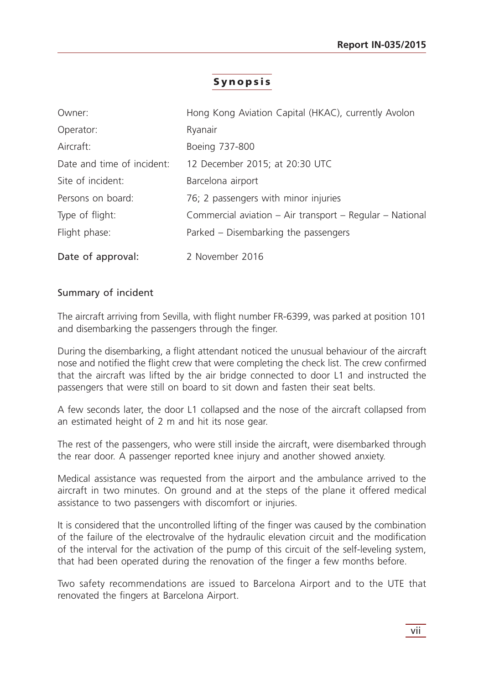# Synopsis

| Owner:                     | Hong Kong Aviation Capital (HKAC), currently Avolon      |
|----------------------------|----------------------------------------------------------|
| Operator:                  | Ryanair                                                  |
| Aircraft:                  | Boeing 737-800                                           |
| Date and time of incident: | 12 December 2015; at 20:30 UTC                           |
| Site of incident:          | Barcelona airport                                        |
| Persons on board:          | 76; 2 passengers with minor injuries                     |
| Type of flight:            | Commercial aviation – Air transport – Regular – National |
| Flight phase:              | Parked – Disembarking the passengers                     |
| Date of approval:          | 2 November 2016                                          |

#### Summary of incident

The aircraft arriving from Sevilla, with flight number FR-6399, was parked at position 101 and disembarking the passengers through the finger.

During the disembarking, a flight attendant noticed the unusual behaviour of the aircraft nose and notified the flight crew that were completing the check list. The crew confirmed that the aircraft was lifted by the air bridge connected to door L1 and instructed the passengers that were still on board to sit down and fasten their seat belts.

A few seconds later, the door L1 collapsed and the nose of the aircraft collapsed from an estimated height of 2 m and hit its nose gear.

The rest of the passengers, who were still inside the aircraft, were disembarked through the rear door. A passenger reported knee injury and another showed anxiety.

Medical assistance was requested from the airport and the ambulance arrived to the aircraft in two minutes. On ground and at the steps of the plane it offered medical assistance to two passengers with discomfort or injuries.

It is considered that the uncontrolled lifting of the finger was caused by the combination of the failure of the electrovalve of the hydraulic elevation circuit and the modification of the interval for the activation of the pump of this circuit of the self-leveling system, that had been operated during the renovation of the finger a few months before.

Two safety recommendations are issued to Barcelona Airport and to the UTE that renovated the fingers at Barcelona Airport.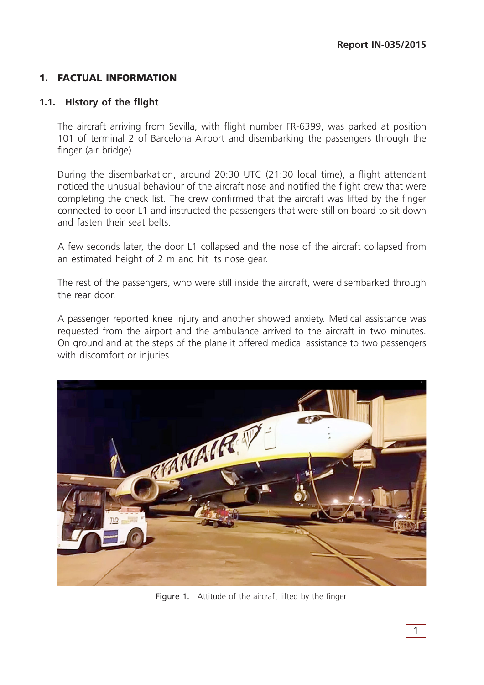# 1. FACTUAL INFORMATION

## **1.1. History of the flight**

The aircraft arriving from Sevilla, with flight number FR-6399, was parked at position 101 of terminal 2 of Barcelona Airport and disembarking the passengers through the finger (air bridge).

During the disembarkation, around 20:30 UTC (21:30 local time), a flight attendant noticed the unusual behaviour of the aircraft nose and notified the flight crew that were completing the check list. The crew confirmed that the aircraft was lifted by the finger connected to door L1 and instructed the passengers that were still on board to sit down and fasten their seat belts.

A few seconds later, the door L1 collapsed and the nose of the aircraft collapsed from an estimated height of 2 m and hit its nose gear.

The rest of the passengers, who were still inside the aircraft, were disembarked through the rear door.

A passenger reported knee injury and another showed anxiety. Medical assistance was requested from the airport and the ambulance arrived to the aircraft in two minutes. On ground and at the steps of the plane it offered medical assistance to two passengers with discomfort or injuries.



Figure 1. Attitude of the aircraft lifted by the finger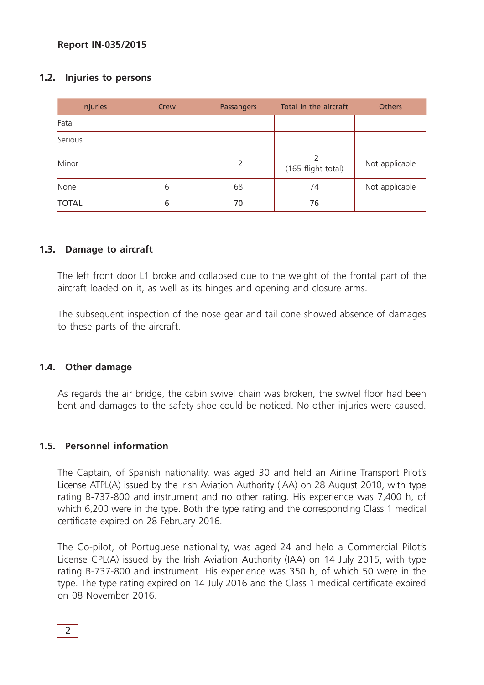# **1.2. Injuries to persons**

| <b>Injuries</b> | Crew | <b>Passangers</b> | Total in the aircraft | <b>Others</b>  |
|-----------------|------|-------------------|-----------------------|----------------|
| Fatal           |      |                   |                       |                |
| Serious         |      |                   |                       |                |
| Minor           |      | 2                 | (165 flight total)    | Not applicable |
| None            | 6    | 68                | 74                    | Not applicable |
| <b>TOTAL</b>    | 6    | 70                | 76                    |                |

# **1.3. Damage to aircraft**

The left front door L1 broke and collapsed due to the weight of the frontal part of the aircraft loaded on it, as well as its hinges and opening and closure arms.

The subsequent inspection of the nose gear and tail cone showed absence of damages to these parts of the aircraft.

# **1.4. Other damage**

As regards the air bridge, the cabin swivel chain was broken, the swivel floor had been bent and damages to the safety shoe could be noticed. No other injuries were caused.

# **1.5. Personnel information**

The Captain, of Spanish nationality, was aged 30 and held an Airline Transport Pilot's License ATPL(A) issued by the Irish Aviation Authority (IAA) on 28 August 2010, with type rating B-737-800 and instrument and no other rating. His experience was 7,400 h, of which 6,200 were in the type. Both the type rating and the corresponding Class 1 medical certificate expired on 28 February 2016.

The Co-pilot, of Portuguese nationality, was aged 24 and held a Commercial Pilot's License CPL(A) issued by the Irish Aviation Authority (IAA) on 14 July 2015, with type rating B-737-800 and instrument. His experience was 350 h, of which 50 were in the type. The type rating expired on 14 July 2016 and the Class 1 medical certificate expired on 08 November 2016.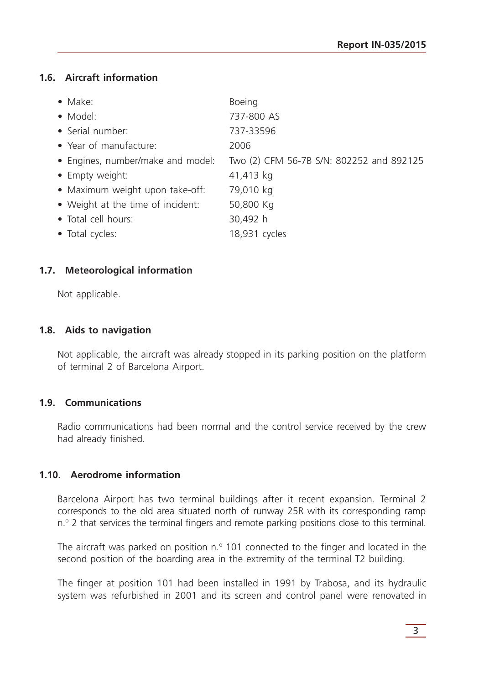# **1.6. Aircraft information**

| $\bullet$ Make:                   | <b>Boeing</b>                            |
|-----------------------------------|------------------------------------------|
| • Model:                          | 737-800 AS                               |
| • Serial number:                  | 737-33596                                |
| • Year of manufacture:            | 2006                                     |
| • Engines, number/make and model: | Two (2) CFM 56-7B S/N: 802252 and 892125 |
| • Empty weight:                   | 41,413 kg                                |
| • Maximum weight upon take-off:   | 79,010 kg                                |
| • Weight at the time of incident: | 50,800 Kg                                |
| • Total cell hours:               | 30,492 h                                 |
| • Total cycles:                   | 18,931 cycles                            |
|                                   |                                          |

# **1.7. Meteorological information**

Not applicable.

#### **1.8. Aids to navigation**

Not applicable, the aircraft was already stopped in its parking position on the platform of terminal 2 of Barcelona Airport.

#### **1.9. Communications**

Radio communications had been normal and the control service received by the crew had already finished.

# **1.10. Aerodrome information**

Barcelona Airport has two terminal buildings after it recent expansion. Terminal 2 corresponds to the old area situated north of runway 25R with its corresponding ramp n.<sup>o</sup> 2 that services the terminal fingers and remote parking positions close to this terminal.

The aircraft was parked on position  $n^{\circ}$  101 connected to the finger and located in the second position of the boarding area in the extremity of the terminal T2 building.

The finger at position 101 had been installed in 1991 by Trabosa, and its hydraulic system was refurbished in 2001 and its screen and control panel were renovated in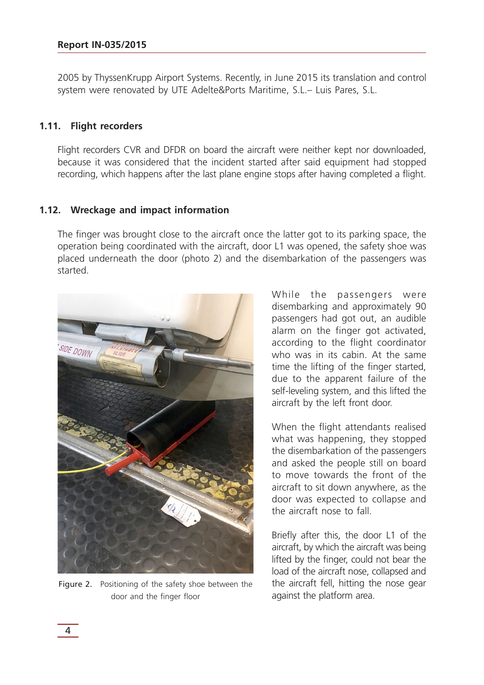2005 by ThyssenKrupp Airport Systems. Recently, in June 2015 its translation and control system were renovated by UTE Adelte&Ports Maritime, S.L.– Luis Pares, S.L.

#### **1.11. Flight recorders**

Flight recorders CVR and DFDR on board the aircraft were neither kept nor downloaded, because it was considered that the incident started after said equipment had stopped recording, which happens after the last plane engine stops after having completed a flight.

#### **1.12. Wreckage and impact information**

The finger was brought close to the aircraft once the latter got to its parking space, the operation being coordinated with the aircraft, door L1 was opened, the safety shoe was placed underneath the door (photo 2) and the disembarkation of the passengers was started.



Figure 2. Positioning of the safety shoe between the door and the finger floor

While the passengers were disembarking and approximately 90 passengers had got out, an audible alarm on the finger got activated, according to the flight coordinator who was in its cabin. At the same time the lifting of the finger started, due to the apparent failure of the self-leveling system, and this lifted the aircraft by the left front door.

When the flight attendants realised what was happening, they stopped the disembarkation of the passengers and asked the people still on board to move towards the front of the aircraft to sit down anywhere, as the door was expected to collapse and the aircraft nose to fall.

Briefly after this, the door L1 of the aircraft, by which the aircraft was being lifted by the finger, could not bear the load of the aircraft nose, collapsed and the aircraft fell, hitting the nose gear against the platform area.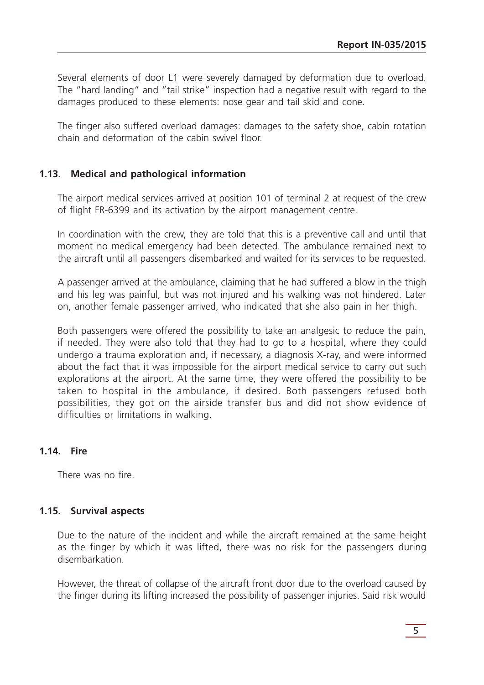Several elements of door L1 were severely damaged by deformation due to overload. The "hard landing" and "tail strike" inspection had a negative result with regard to the damages produced to these elements: nose gear and tail skid and cone.

The finger also suffered overload damages: damages to the safety shoe, cabin rotation chain and deformation of the cabin swivel floor.

## **1.13. Medical and pathological information**

The airport medical services arrived at position 101 of terminal 2 at request of the crew of flight FR-6399 and its activation by the airport management centre.

In coordination with the crew, they are told that this is a preventive call and until that moment no medical emergency had been detected. The ambulance remained next to the aircraft until all passengers disembarked and waited for its services to be requested.

A passenger arrived at the ambulance, claiming that he had suffered a blow in the thigh and his leg was painful, but was not injured and his walking was not hindered. Later on, another female passenger arrived, who indicated that she also pain in her thigh.

Both passengers were offered the possibility to take an analgesic to reduce the pain, if needed. They were also told that they had to go to a hospital, where they could undergo a trauma exploration and, if necessary, a diagnosis X-ray, and were informed about the fact that it was impossible for the airport medical service to carry out such explorations at the airport. At the same time, they were offered the possibility to be taken to hospital in the ambulance, if desired. Both passengers refused both possibilities, they got on the airside transfer bus and did not show evidence of difficulties or limitations in walking.

#### **1.14. Fire**

There was no fire.

#### **1.15. Survival aspects**

Due to the nature of the incident and while the aircraft remained at the same height as the finger by which it was lifted, there was no risk for the passengers during disembarkation.

However, the threat of collapse of the aircraft front door due to the overload caused by the finger during its lifting increased the possibility of passenger injuries. Said risk would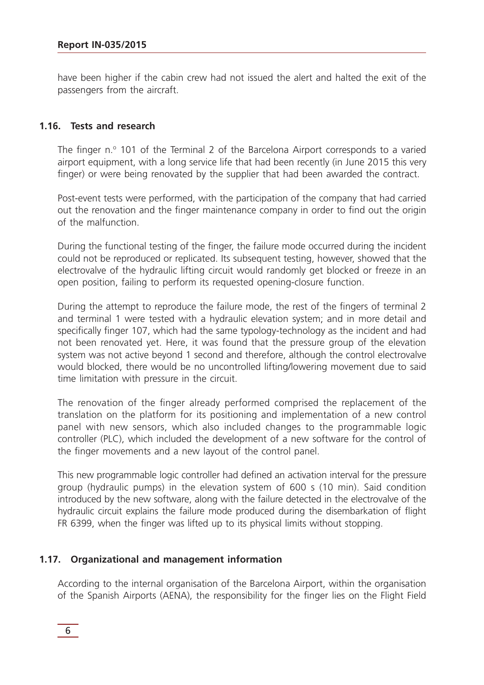have been higher if the cabin crew had not issued the alert and halted the exit of the passengers from the aircraft.

#### **1.16. Tests and research**

The finger n.º 101 of the Terminal 2 of the Barcelona Airport corresponds to a varied airport equipment, with a long service life that had been recently (in June 2015 this very finger) or were being renovated by the supplier that had been awarded the contract.

Post-event tests were performed, with the participation of the company that had carried out the renovation and the finger maintenance company in order to find out the origin of the malfunction.

During the functional testing of the finger, the failure mode occurred during the incident could not be reproduced or replicated. Its subsequent testing, however, showed that the electrovalve of the hydraulic lifting circuit would randomly get blocked or freeze in an open position, failing to perform its requested opening-closure function.

During the attempt to reproduce the failure mode, the rest of the fingers of terminal 2 and terminal 1 were tested with a hydraulic elevation system; and in more detail and specifically finger 107, which had the same typology-technology as the incident and had not been renovated yet. Here, it was found that the pressure group of the elevation system was not active beyond 1 second and therefore, although the control electrovalve would blocked, there would be no uncontrolled lifting/lowering movement due to said time limitation with pressure in the circuit.

The renovation of the finger already performed comprised the replacement of the translation on the platform for its positioning and implementation of a new control panel with new sensors, which also included changes to the programmable logic controller (PLC), which included the development of a new software for the control of the finger movements and a new layout of the control panel.

This new programmable logic controller had defined an activation interval for the pressure group (hydraulic pumps) in the elevation system of 600 s (10 min). Said condition introduced by the new software, along with the failure detected in the electrovalve of the hydraulic circuit explains the failure mode produced during the disembarkation of flight FR 6399, when the finger was lifted up to its physical limits without stopping.

#### **1.17. Organizational and management information**

According to the internal organisation of the Barcelona Airport, within the organisation of the Spanish Airports (AENA), the responsibility for the finger lies on the Flight Field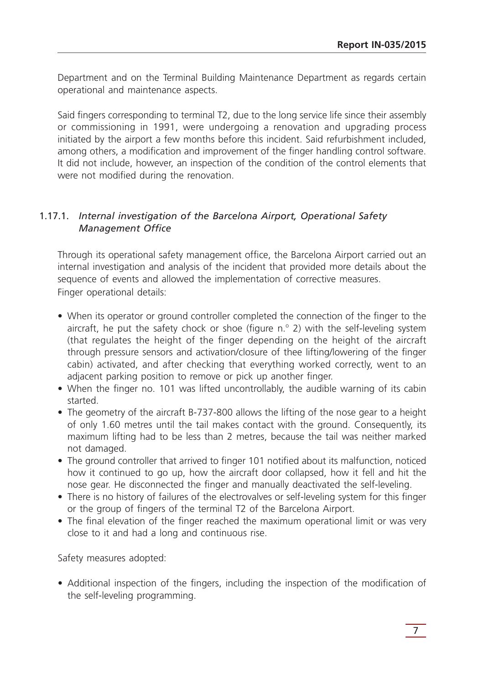Department and on the Terminal Building Maintenance Department as regards certain operational and maintenance aspects.

Said fingers corresponding to terminal T2, due to the long service life since their assembly or commissioning in 1991, were undergoing a renovation and upgrading process initiated by the airport a few months before this incident. Said refurbishment included, among others, a modification and improvement of the finger handling control software. It did not include, however, an inspection of the condition of the control elements that were not modified during the renovation.

# 1.17.1. *Internal investigation of the Barcelona Airport, Operational Safety Management Office*

Through its operational safety management office, the Barcelona Airport carried out an internal investigation and analysis of the incident that provided more details about the sequence of events and allowed the implementation of corrective measures. Finger operational details:

- When its operator or ground controller completed the connection of the finger to the aircraft, he put the safety chock or shoe (figure  $n^{\circ}$  2) with the self-leveling system (that regulates the height of the finger depending on the height of the aircraft through pressure sensors and activation/closure of thee lifting/lowering of the finger cabin) activated, and after checking that everything worked correctly, went to an adjacent parking position to remove or pick up another finger.
- When the finger no. 101 was lifted uncontrollably, the audible warning of its cabin started.
- The geometry of the aircraft B-737-800 allows the lifting of the nose gear to a height of only 1.60 metres until the tail makes contact with the ground. Consequently, its maximum lifting had to be less than 2 metres, because the tail was neither marked not damaged.
- The ground controller that arrived to finger 101 notified about its malfunction, noticed how it continued to go up, how the aircraft door collapsed, how it fell and hit the nose gear. He disconnected the finger and manually deactivated the self-leveling.
- There is no history of failures of the electrovalves or self-leveling system for this finger or the group of fingers of the terminal T2 of the Barcelona Airport.
- The final elevation of the finger reached the maximum operational limit or was very close to it and had a long and continuous rise.

Safety measures adopted:

• Additional inspection of the fingers, including the inspection of the modification of the self-leveling programming.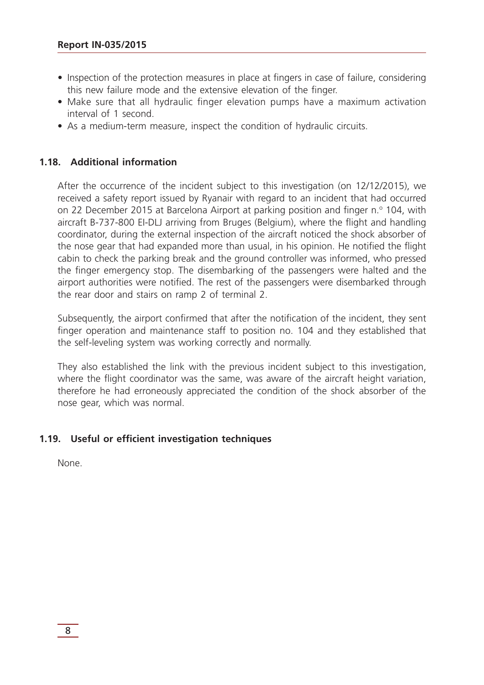- Inspection of the protection measures in place at fingers in case of failure, considering this new failure mode and the extensive elevation of the finger.
- Make sure that all hydraulic finger elevation pumps have a maximum activation interval of 1 second.
- As a medium-term measure, inspect the condition of hydraulic circuits.

## **1.18. Additional information**

After the occurrence of the incident subject to this investigation (on 12/12/2015), we received a safety report issued by Ryanair with regard to an incident that had occurred on 22 December 2015 at Barcelona Airport at parking position and finger n.º 104, with aircraft B-737-800 EI-DLJ arriving from Bruges (Belgium), where the flight and handling coordinator, during the external inspection of the aircraft noticed the shock absorber of the nose gear that had expanded more than usual, in his opinion. He notified the flight cabin to check the parking break and the ground controller was informed, who pressed the finger emergency stop. The disembarking of the passengers were halted and the airport authorities were notified. The rest of the passengers were disembarked through the rear door and stairs on ramp 2 of terminal 2.

Subsequently, the airport confirmed that after the notification of the incident, they sent finger operation and maintenance staff to position no. 104 and they established that the self-leveling system was working correctly and normally.

They also established the link with the previous incident subject to this investigation, where the flight coordinator was the same, was aware of the aircraft height variation, therefore he had erroneously appreciated the condition of the shock absorber of the nose gear, which was normal.

# **1.19. Useful or efficient investigation techniques**

None.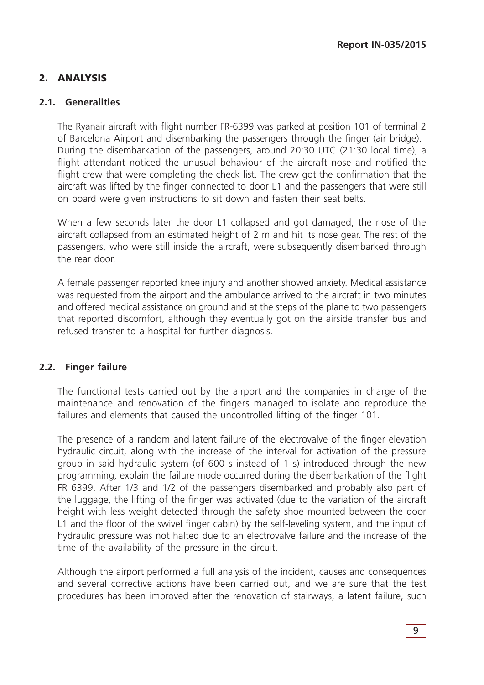# 2. ANALYSIS

#### **2.1. Generalities**

The Ryanair aircraft with flight number FR-6399 was parked at position 101 of terminal 2 of Barcelona Airport and disembarking the passengers through the finger (air bridge). During the disembarkation of the passengers, around 20:30 UTC (21:30 local time), a flight attendant noticed the unusual behaviour of the aircraft nose and notified the flight crew that were completing the check list. The crew got the confirmation that the aircraft was lifted by the finger connected to door L1 and the passengers that were still on board were given instructions to sit down and fasten their seat belts.

When a few seconds later the door L1 collapsed and got damaged, the nose of the aircraft collapsed from an estimated height of 2 m and hit its nose gear. The rest of the passengers, who were still inside the aircraft, were subsequently disembarked through the rear door.

A female passenger reported knee injury and another showed anxiety. Medical assistance was requested from the airport and the ambulance arrived to the aircraft in two minutes and offered medical assistance on ground and at the steps of the plane to two passengers that reported discomfort, although they eventually got on the airside transfer bus and refused transfer to a hospital for further diagnosis.

# **2.2. Finger failure**

The functional tests carried out by the airport and the companies in charge of the maintenance and renovation of the fingers managed to isolate and reproduce the failures and elements that caused the uncontrolled lifting of the finger 101.

The presence of a random and latent failure of the electrovalve of the finger elevation hydraulic circuit, along with the increase of the interval for activation of the pressure group in said hydraulic system (of 600 s instead of 1 s) introduced through the new programming, explain the failure mode occurred during the disembarkation of the flight FR 6399. After 1/3 and 1/2 of the passengers disembarked and probably also part of the luggage, the lifting of the finger was activated (due to the variation of the aircraft height with less weight detected through the safety shoe mounted between the door L1 and the floor of the swivel finger cabin) by the self-leveling system, and the input of hydraulic pressure was not halted due to an electrovalve failure and the increase of the time of the availability of the pressure in the circuit.

Although the airport performed a full analysis of the incident, causes and consequences and several corrective actions have been carried out, and we are sure that the test procedures has been improved after the renovation of stairways, a latent failure, such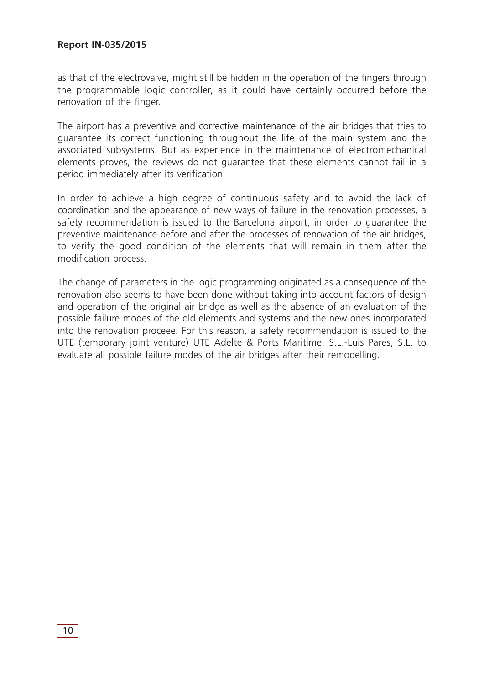as that of the electrovalve, might still be hidden in the operation of the fingers through the programmable logic controller, as it could have certainly occurred before the renovation of the finger.

The airport has a preventive and corrective maintenance of the air bridges that tries to guarantee its correct functioning throughout the life of the main system and the associated subsystems. But as experience in the maintenance of electromechanical elements proves, the reviews do not guarantee that these elements cannot fail in a period immediately after its verification.

In order to achieve a high degree of continuous safety and to avoid the lack of coordination and the appearance of new ways of failure in the renovation processes, a safety recommendation is issued to the Barcelona airport, in order to guarantee the preventive maintenance before and after the processes of renovation of the air bridges, to verify the good condition of the elements that will remain in them after the modification process.

The change of parameters in the logic programming originated as a consequence of the renovation also seems to have been done without taking into account factors of design and operation of the original air bridge as well as the absence of an evaluation of the possible failure modes of the old elements and systems and the new ones incorporated into the renovation proceee. For this reason, a safety recommendation is issued to the UTE (temporary joint venture) UTE Adelte & Ports Maritime, S.L.-Luis Pares, S.L. to evaluate all possible failure modes of the air bridges after their remodelling.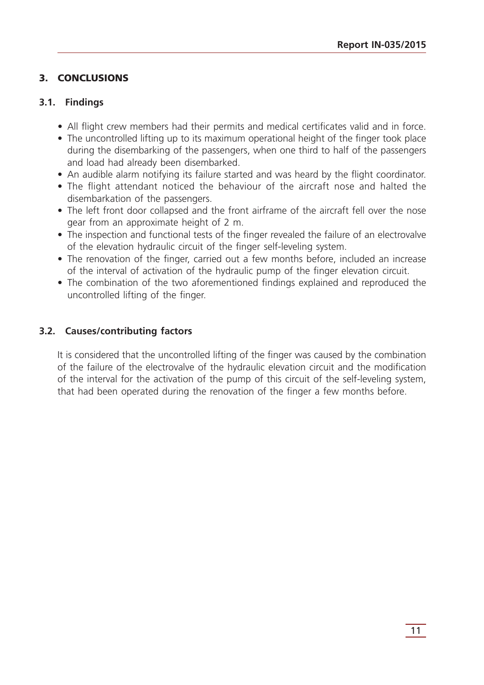# 3. CONCLUSIONS

# **3.1. Findings**

- All flight crew members had their permits and medical certificates valid and in force.
- The uncontrolled lifting up to its maximum operational height of the finger took place during the disembarking of the passengers, when one third to half of the passengers and load had already been disembarked.
- An audible alarm notifying its failure started and was heard by the flight coordinator.
- The flight attendant noticed the behaviour of the aircraft nose and halted the disembarkation of the passengers.
- The left front door collapsed and the front airframe of the aircraft fell over the nose gear from an approximate height of 2 m.
- The inspection and functional tests of the finger revealed the failure of an electrovalve of the elevation hydraulic circuit of the finger self-leveling system.
- The renovation of the finger, carried out a few months before, included an increase of the interval of activation of the hydraulic pump of the finger elevation circuit.
- The combination of the two aforementioned findings explained and reproduced the uncontrolled lifting of the finger.

# **3.2. Causes/contributing factors**

It is considered that the uncontrolled lifting of the finger was caused by the combination of the failure of the electrovalve of the hydraulic elevation circuit and the modification of the interval for the activation of the pump of this circuit of the self-leveling system, that had been operated during the renovation of the finger a few months before.